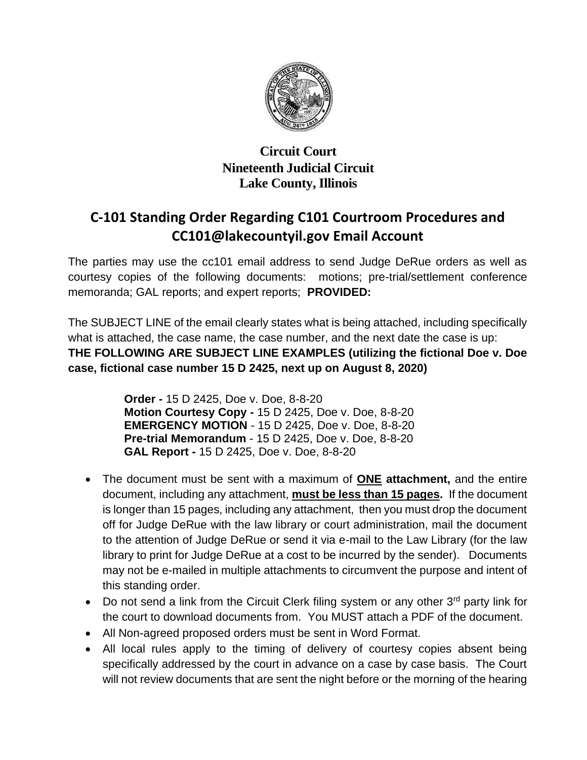

## **Circuit Court Nineteenth Judicial Circuit Lake County, Illinois**

## **C-101 Standing Order Regarding C101 Courtroom Procedures and CC101@lakecountyil.gov Email Account**

The parties may use the cc101 email address to send Judge DeRue orders as well as courtesy copies of the following documents: motions; pre-trial/settlement conference memoranda; GAL reports; and expert reports; **PROVIDED:**

The SUBJECT LINE of the email clearly states what is being attached, including specifically what is attached, the case name, the case number, and the next date the case is up: **THE FOLLOWING ARE SUBJECT LINE EXAMPLES (utilizing the fictional Doe v. Doe case, fictional case number 15 D 2425, next up on August 8, 2020)**

> **Order -** 15 D 2425, Doe v. Doe, 8-8-20 **Motion Courtesy Copy -** 15 D 2425, Doe v. Doe, 8-8-20 **EMERGENCY MOTION** - 15 D 2425, Doe v. Doe, 8-8-20 **Pre-trial Memorandum** - 15 D 2425, Doe v. Doe, 8-8-20 **GAL Report -** 15 D 2425, Doe v. Doe, 8-8-20

- The document must be sent with a maximum of **ONE attachment,** and the entire document, including any attachment, **must be less than 15 pages.** If the document is longer than 15 pages, including any attachment, then you must drop the document off for Judge DeRue with the law library or court administration, mail the document to the attention of Judge DeRue or send it via e-mail to the Law Library (for the law library to print for Judge DeRue at a cost to be incurred by the sender). Documents may not be e-mailed in multiple attachments to circumvent the purpose and intent of this standing order.
- Do not send a link from the Circuit Clerk filing system or any other 3<sup>rd</sup> party link for the court to download documents from. You MUST attach a PDF of the document.
- All Non-agreed proposed orders must be sent in Word Format.
- All local rules apply to the timing of delivery of courtesy copies absent being specifically addressed by the court in advance on a case by case basis. The Court will not review documents that are sent the night before or the morning of the hearing